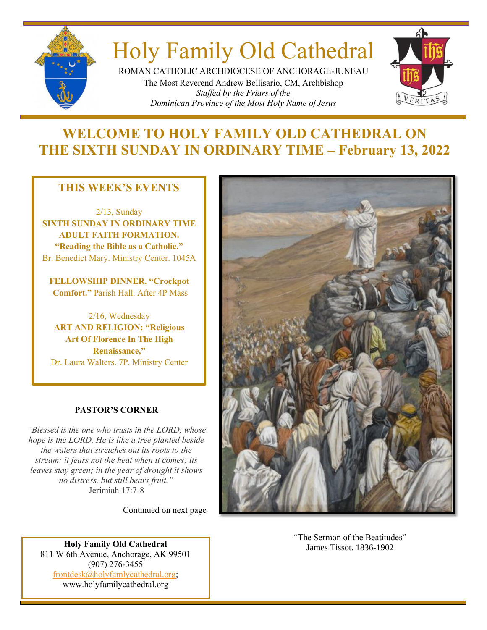

# Holy Family Old Cathedral

ROMAN CATHOLIC ARCHDIOCESE OF ANCHORAGE-JUNEAU The Most Reverend Andrew Bellisario, CM, Archbishop *Staffed by the Friars of the Dominican Province of the Most Holy Name of Jesus*



# **WELCOME TO HOLY FAMILY OLD CATHEDRAL ON THE SIXTH SUNDAY IN ORDINARY TIME – February 13, 2022**

### **THIS WEEK'S EVENTS**

2/13, Sunday **SIXTH SUNDAY IN ORDINARY TIME ADULT FAITH FORMATION. "Reading the Bible as a Catholic."**  Br. Benedict Mary. Ministry Center. 1045A

**FELLOWSHIP DINNER. "Crockpot Comfort."** Parish Hall. After 4P Mass

2/16, Wednesday **ART AND RELIGION: "Religious Art Of Florence In The High Renaissance,"** Dr. Laura Walters. 7P. Ministry Center

### **PASTOR'S CORNER**

*"Blessed is the one who trusts in the LORD, whose hope is the LORD. He is like a tree planted beside the waters that stretches out its roots to the stream: it fears not the heat when it comes; its leaves stay green; in the year of drought it shows no distress, but still bears fruit."* Jerimiah 17:7-8

Continued on next page

**Holy Family Old Cathedral** James Tissot. 1836-1902 811 W 6th Avenue, Anchorage, AK 99501 (907) 276-3455 [frontdesk@holyfamlycathedral.org;](mailto:frontdesk@holyfamlycathedral.org) [www.holyfamilycathedral.org](http://www.holyfamilycathedral.org/)



"The Sermon of the Beatitudes"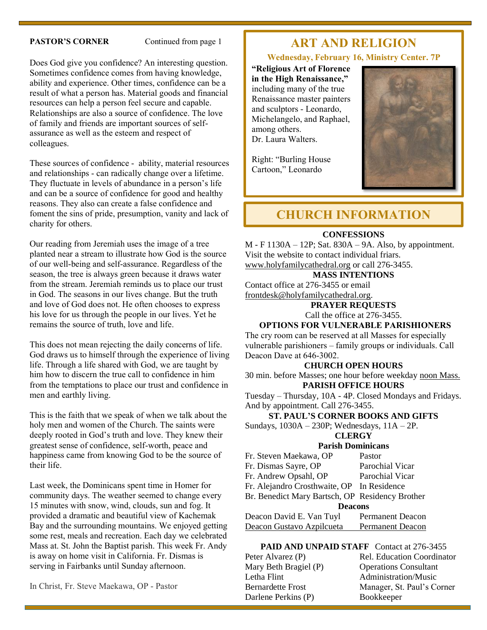#### **PASTOR'S CORNER** Continued from page 1

Does God give you confidence? An interesting question. Sometimes confidence comes from having knowledge, ability and experience. Other times, confidence can be a result of what a person has. Material goods and financial resources can help a person feel secure and capable. Relationships are also a source of confidence. The love of family and friends are important sources of selfassurance as well as the esteem and respect of colleagues.

These sources of confidence - ability, material resources and relationships - can radically change over a lifetime. They fluctuate in levels of abundance in a person's life and can be a source of confidence for good and healthy reasons. They also can create a false confidence and foment the sins of pride, presumption, vanity and lack of charity for others.

Our reading from Jeremiah uses the image of a tree planted near a stream to illustrate how God is the source of our well-being and self-assurance. Regardless of the season, the tree is always green because it draws water from the stream. Jeremiah reminds us to place our trust in God. The seasons in our lives change. But the truth and love of God does not. He often chooses to express his love for us through the people in our lives. Yet he remains the source of truth, love and life.

This does not mean rejecting the daily concerns of life. God draws us to himself through the experience of living life. Through a life shared with God, we are taught by him how to discern the true call to confidence in him from the temptations to place our trust and confidence in men and earthly living.

This is the faith that we speak of when we talk about the holy men and women of the Church. The saints were deeply rooted in God's truth and love. They knew their greatest sense of confidence, self-worth, peace and happiness came from knowing God to be the source of their life.

Last week, the Dominicans spent time in Homer for community days. The weather seemed to change every 15 minutes with snow, wind, clouds, sun and fog. It provided a dramatic and beautiful view of Kachemak Bay and the surrounding mountains. We enjoyed getting some rest, meals and recreation. Each day we celebrated Mass at. St. John the Baptist parish. This week Fr. Andy is away on home visit in California. Fr. Dismas is serving in Fairbanks until Sunday afternoon.

# **ART AND RELIGION**

#### **Wednesday, February 16, Ministry Center. 7P**

**"Religious Art of Florence in the High Renaissance,"** including many of the true Renaissance master painters and sculptors - Leonardo, Michelangelo, and Raphael, among others. Dr. Laura Walters.

Right: "Burling House Cartoon," Leonardo



### **CHURCH INFORMATION**

#### **CONFESSIONS**

M - F 1130A – 12P; Sat. 830A – 9A. Also, by appointment. Visit the website to contact individual friars. [www.holyfamilycathedral.org](http://www.holyfamilycathedral.org/) or call 276-3455.

### **MASS INTENTIONS**

Contact office at 276-3455 or email [frontdesk@holyfamilycathedral.org.](mailto:frontdesk@holyfamilycathedral.org)

> **PRAYER REQUESTS** Call the office at 276-3455.

#### **OPTIONS FOR VULNERABLE PARISHIONERS**

The cry room can be reserved at all Masses for especially vulnerable parishioners – family groups or individuals. Call Deacon Dave at 646-3002.

#### **CHURCH OPEN HOURS**

30 min. before Masses; one hour before weekday noon Mass. **PARISH OFFICE HOURS**

Tuesday – Thursday, 10A - 4P. Closed Mondays and Fridays. And by appointment. Call 276-3455.

#### **ST. PAUL'S CORNER BOOKS AND GIFTS**

Sundays, 1030A – 230P; Wednesdays, 11A – 2P.

#### **CLERGY**

#### **Parish Dominicans**

| Fr. Steven Maekawa, OP                          | Pastor                  |  |  |
|-------------------------------------------------|-------------------------|--|--|
| Fr. Dismas Sayre, OP                            | Parochial Vicar         |  |  |
| Fr. Andrew Opsahl, OP                           | Parochial Vicar         |  |  |
| Fr. Alejandro Crosthwaite, OP In Residence      |                         |  |  |
| Br. Benedict Mary Bartsch, OP Residency Brother |                         |  |  |
| <b>Deacons</b>                                  |                         |  |  |
| Deacon David E. Van Tuyl                        | <b>Permanent Deacon</b> |  |  |
| Deacon Gustavo Azpilcueta                       | <b>Permanent Deacon</b> |  |  |

#### PAID AND UNPAID STAFF Contact at 276-3455

Mary Beth Bragiel (P) Operations Consultant Letha Flint Administration/Music Darlene Perkins (P) Bookkeeper

Peter Alvarez (P) Rel. Education Coordinator Bernardette Frost Manager, St. Paul's Corner

In Christ, Fr. Steve Maekawa, OP - Pastor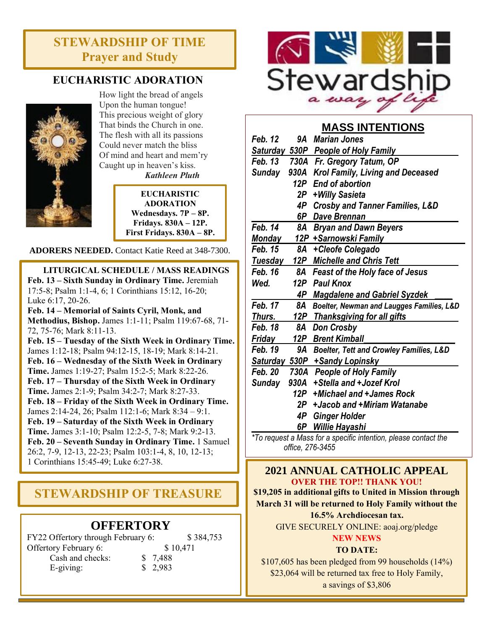# **STEWARDSHIP OF TIME Prayer and Study**

### **EUCHARISTIC ADORATION**



How light the bread of angels Upon the human tongue! This precious weight of glory That binds the Church in one. The flesh with all its passions Could never match the bliss Of mind and heart and mem'ry Caught up in heaven's kiss.

*Kathleen Pluth*

**EUCHARISTIC ADORATION Wednesdays. 7P – 8P. Fridays. 830A – 12P. First Fridays. 830A – 8P.**

**ADORERS NEEDED.** Contact Katie Reed at 348-7300.

**LITURGICAL SCHEDULE / MASS READINGS Feb. 13 – Sixth Sunday in Ordinary Time.** Jeremiah 17:5-8; Psalm 1:1-4, 6; 1 Corinthians 15:12, 16-20; Luke 6:17, 20-26.

**Feb. 14 – Memorial of Saints Cyril, Monk, and Methodius, Bishop.** James 1:1-11; Psalm 119:67-68, 71- 72, 75-76; Mark 8:11-13.

**Feb. 15 – Tuesday of the Sixth Week in Ordinary Time.**  James 1:12-18; Psalm 94:12-15, 18-19; Mark 8:14-21. **Feb. 16 – Wednesday of the Sixth Week in Ordinary Time.** James 1:19-27; Psalm 15:2-5; Mark 8:22-26. **Feb. 17 – Thursday of the Sixth Week in Ordinary Time.** James 2:1-9; Psalm 34:2-7; Mark 8:27-33. **Feb. 18 – Friday of the Sixth Week in Ordinary Time.** James 2:14-24, 26; Psalm 112:1-6; Mark 8:34 – 9:1. **Feb. 19 – Saturday of the Sixth Week in Ordinary Time.** James 3:1-10; Psalm 12:2-5, 7-8; Mark 9:2-13. **Feb. 20 – Seventh Sunday in Ordinary Time.** 1 Samuel 26:2, 7-9, 12-13, 22-23; Psalm 103:1-4, 8, 10, 12-13; 1 Corinthians 15:45-49; Luke 6:27-38.

# **STEWARDSHIP OF TREASURE**

### **OFFERTORY**

| FY22 Offertory through February 6: | \$384,753 |          |
|------------------------------------|-----------|----------|
| Offertory February 6:              |           | \$10,471 |
| Cash and checks:                   | \$ 7,488  |          |
| $E$ -giving:                       | \$2,983   |          |



### **MASS INTENTIONS**

| Feb. 12                                                         | 9Α   | <b>Marian Jones</b>                        |  |
|-----------------------------------------------------------------|------|--------------------------------------------|--|
| Saturday 530P                                                   |      | <u>People of Holy Family</u>               |  |
| <b>Feb. 13</b>                                                  | 730A | Fr. Gregory Tatum, OP                      |  |
| Sunday                                                          | 930A | <b>Krol Family, Living and Deceased</b>    |  |
|                                                                 | 12P  | <b>End of abortion</b>                     |  |
|                                                                 | 2P . | +Willy Sasieta                             |  |
|                                                                 | 4P   | <b>Crosby and Tanner Families, L&amp;D</b> |  |
|                                                                 | 6P   | <b>Dave Brennan</b>                        |  |
| Feb. 14                                                         | 8A   | <b>Bryan and Dawn Beyers</b>               |  |
| Monday                                                          |      | 12P  +Sarnowski Family                     |  |
| <b>Feb. 15</b>                                                  | 8A   | +Cleofe Colegado                           |  |
| Tuesday                                                         | 12P  | <b>Michelle and Chris Tett</b>             |  |
| Feb. 16                                                         | 8Α   | <b>Feast of the Holy face of Jesus</b>     |  |
| Wed.                                                            |      | 12P Paul Knox                              |  |
|                                                                 |      | <b>4P</b> Magdalene and Gabriel Syzdek     |  |
| Feb. 17                                                         | 8A   | Boelter, Newman and Laugges Families, L&D  |  |
| Thurs.                                                          |      | 12P Thanksgiving for all gifts             |  |
| Feb. 18                                                         | 8Α   | <b>Don Crosby</b>                          |  |
| <u>Friday</u>                                                   | 12P  | <b>Brent Kimball</b>                       |  |
| <b>Feb. 19</b>                                                  | 9A   | Boelter, Tett and Crowley Families, L&D    |  |
|                                                                 |      | Saturday 530P +Sandy Lopinsky              |  |
| Feb. 20                                                         | 730A | <b>People of Holy Family</b>               |  |
| Sunday                                                          | 930A | +Stella and +Jozef Krol                    |  |
|                                                                 | 12P  | +Michael and +James Rock                   |  |
|                                                                 | 2P   | +Jacob and +Miriam Watanabe                |  |
|                                                                 | 4P   | <b>Ginger Holder</b>                       |  |
|                                                                 | 6P   | <b>Willie Hayashi</b>                      |  |
| *To request a Mass for a specific intention, please contact the |      |                                            |  |

*\*To request a Mass for a specific intention, please contact the office, 276-3455*

**2021 ANNUAL CATHOLIC APPEAL OVER THE TOP!! THANK YOU!**

**\$19,205 in additional gifts to United in Mission through March 31 will be returned to Holy Family without the** 

**16.5% Archdiocesan tax.**

GIVE SECURELY ONLINE: aoaj.org/pledge **NEW NEWS**

### **TO DATE:**

\$107,605 has been pledged from 99 households (14%) \$23,064 will be returned tax free to Holy Family, a savings of \$3,806